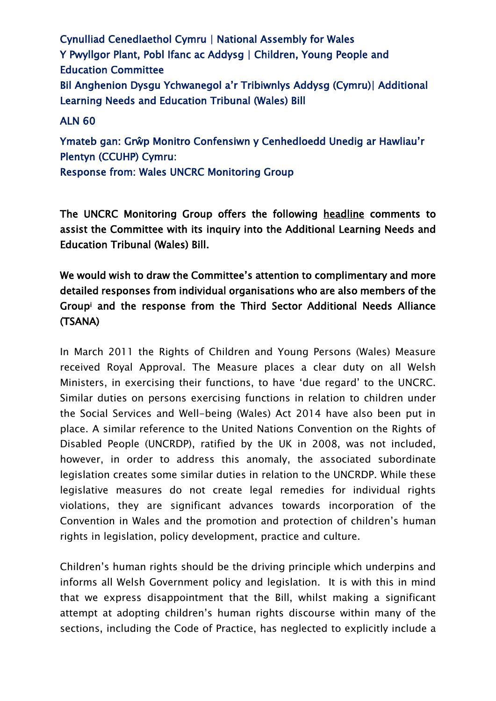Cynulliad Cenedlaethol Cymru | National Assembly for Wales Y Pwyllgor Plant, Pobl Ifanc ac Addysg | Children, Young People and Education Committee Bil Anghenion Dysgu Ychwanegol a'r Tribiwnlys Addysg (Cymru)| Additional Learning Needs and Education Tribunal (Wales) Bill

# ALN 60

Ymateb gan: Grŵp Monitro Confensiwn y Cenhedloedd Unedig ar Hawliau'r Plentyn (CCUHP) Cymru: Response from: Wales UNCRC Monitoring Group

The UNCRC Monitoring Group offers the following headline comments to assist the Committee with its inquiry into the Additional Learning Needs and Education Tribunal (Wales) Bill.

We would wish to draw the Committee's attention to complimentary and more detailed responses from individual organisations who are also members of the Group<sup>i</sup> and the response from the Third Sector Additional Needs Alliance (TSANA)

In March 2011 the Rights of Children and Young Persons (Wales) Measure received Royal Approval. The Measure places a clear duty on all Welsh Ministers, in exercising their functions, to have 'due regard' to the UNCRC. Similar duties on persons exercising functions in relation to children under the Social Services and Well-being (Wales) Act 2014 have also been put in place. A similar reference to the United Nations Convention on the Rights of Disabled People (UNCRDP), ratified by the UK in 2008, was not included, however, in order to address this anomaly, the associated subordinate legislation creates some similar duties in relation to the UNCRDP. While these legislative measures do not create legal remedies for individual rights violations, they are significant advances towards incorporation of the Convention in Wales and the promotion and protection of children's human rights in legislation, policy development, practice and culture.

Children's human rights should be the driving principle which underpins and informs all Welsh Government policy and legislation. It is with this in mind that we express disappointment that the Bill, whilst making a significant attempt at adopting children's human rights discourse within many of the sections, including the Code of Practice, has neglected to explicitly include a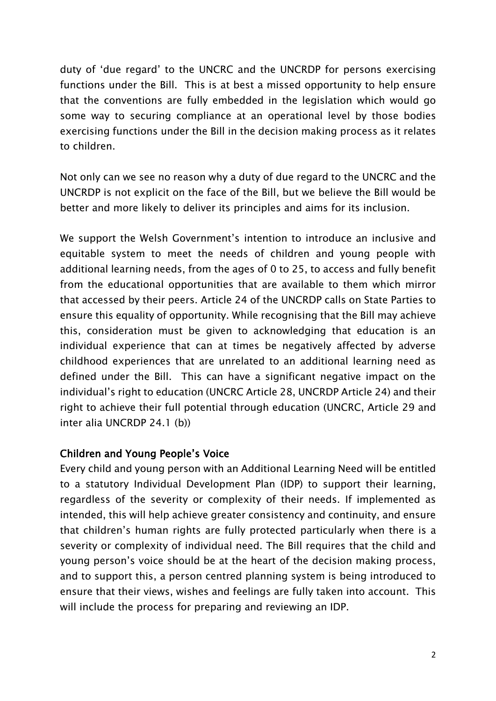duty of 'due regard' to the UNCRC and the UNCRDP for persons exercising functions under the Bill. This is at best a missed opportunity to help ensure that the conventions are fully embedded in the legislation which would go some way to securing compliance at an operational level by those bodies exercising functions under the Bill in the decision making process as it relates to children.

Not only can we see no reason why a duty of due regard to the UNCRC and the UNCRDP is not explicit on the face of the Bill, but we believe the Bill would be better and more likely to deliver its principles and aims for its inclusion.

We support the Welsh Government's intention to introduce an inclusive and equitable system to meet the needs of children and young people with additional learning needs, from the ages of 0 to 25, to access and fully benefit from the educational opportunities that are available to them which mirror that accessed by their peers. Article 24 of the UNCRDP calls on State Parties to ensure this equality of opportunity. While recognising that the Bill may achieve this, consideration must be given to acknowledging that education is an individual experience that can at times be negatively affected by adverse childhood experiences that are unrelated to an additional learning need as defined under the Bill. This can have a significant negative impact on the individual's right to education (UNCRC Article 28, UNCRDP Article 24) and their right to achieve their full potential through education (UNCRC, Article 29 and inter alia UNCRDP 24.1 (b))

## Children and Young People's Voice

Every child and young person with an Additional Learning Need will be entitled to a statutory Individual Development Plan (IDP) to support their learning, regardless of the severity or complexity of their needs. If implemented as intended, this will help achieve greater consistency and continuity, and ensure that children's human rights are fully protected particularly when there is a severity or complexity of individual need. The Bill requires that the child and young person's voice should be at the heart of the decision making process, and to support this, a person centred planning system is being introduced to ensure that their views, wishes and feelings are fully taken into account. This will include the process for preparing and reviewing an IDP.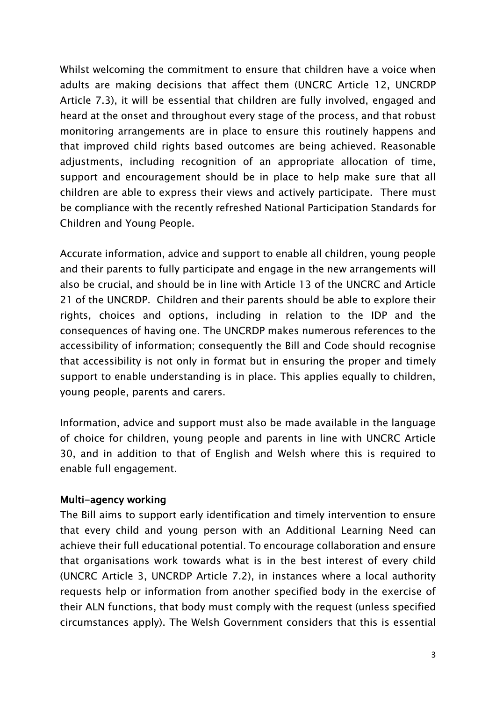Whilst welcoming the commitment to ensure that children have a voice when adults are making decisions that affect them (UNCRC Article 12, UNCRDP Article 7.3), it will be essential that children are fully involved, engaged and heard at the onset and throughout every stage of the process, and that robust monitoring arrangements are in place to ensure this routinely happens and that improved child rights based outcomes are being achieved. Reasonable adjustments, including recognition of an appropriate allocation of time, support and encouragement should be in place to help make sure that all children are able to express their views and actively participate. There must be compliance with the recently refreshed National Participation Standards for Children and Young People.

Accurate information, advice and support to enable all children, young people and their parents to fully participate and engage in the new arrangements will also be crucial, and should be in line with Article 13 of the UNCRC and Article 21 of the UNCRDP. Children and their parents should be able to explore their rights, choices and options, including in relation to the IDP and the consequences of having one. The UNCRDP makes numerous references to the accessibility of information; consequently the Bill and Code should recognise that accessibility is not only in format but in ensuring the proper and timely support to enable understanding is in place. This applies equally to children, young people, parents and carers.

Information, advice and support must also be made available in the language of choice for children, young people and parents in line with UNCRC Article 30, and in addition to that of English and Welsh where this is required to enable full engagement.

#### Multi-agency working

The Bill aims to support early identification and timely intervention to ensure that every child and young person with an Additional Learning Need can achieve their full educational potential. To encourage collaboration and ensure that organisations work towards what is in the best interest of every child (UNCRC Article 3, UNCRDP Article 7.2), in instances where a local authority requests help or information from another specified body in the exercise of their ALN functions, that body must comply with the request (unless specified circumstances apply). The Welsh Government considers that this is essential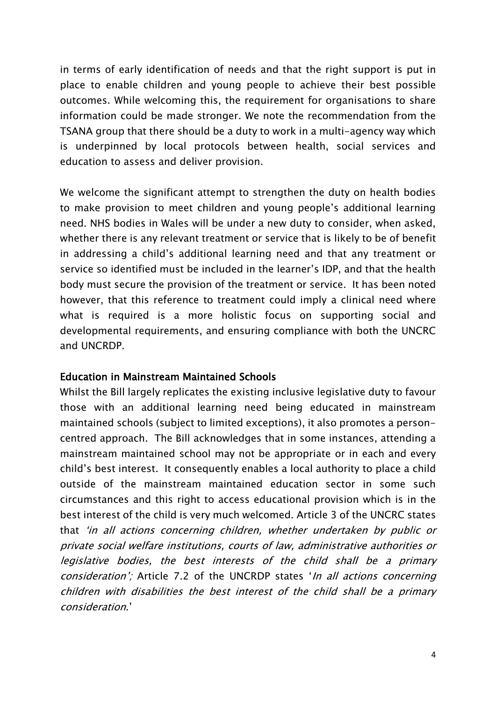in terms of early identification of needs and that the right support is put in place to enable children and young people to achieve their best possible outcomes. While welcoming this, the requirement for organisations to share information could be made stronger. We note the recommendation from the TSANA group that there should be a duty to work in a multi-agency way which is underpinned by local protocols between health, social services and education to assess and deliver provision.

We welcome the significant attempt to strengthen the duty on health bodies to make provision to meet children and young people's additional learning need. NHS bodies in Wales will be under a new duty to consider, when asked, whether there is any relevant treatment or service that is likely to be of benefit in addressing a child's additional learning need and that any treatment or service so identified must be included in the learner's IDP, and that the health body must secure the provision of the treatment or service. It has been noted however, that this reference to treatment could imply a clinical need where what is required is a more holistic focus on supporting social and developmental requirements, and ensuring compliance with both the UNCRC and UNCRDP.

#### Education in Mainstream Maintained Schools

Whilst the Bill largely replicates the existing inclusive legislative duty to favour those with an additional learning need being educated in mainstream maintained schools (subject to limited exceptions), it also promotes a personcentred approach. The Bill acknowledges that in some instances, attending a mainstream maintained school may not be appropriate or in each and every child's best interest. It consequently enables a local authority to place a child outside of the mainstream maintained education sector in some such circumstances and this right to access educational provision which is in the best interest of the child is very much welcomed. Article 3 of the UNCRC states that 'in all actions concerning children, whether undertaken by public or private social welfare institutions, courts of law, administrative authorities or legislative bodies, the best interests of the child shall be a primary consideration'; Article 7.2 of the UNCRDP states 'In all actions concerning children with disabilities the best interest of the child shall be a primary consideration.'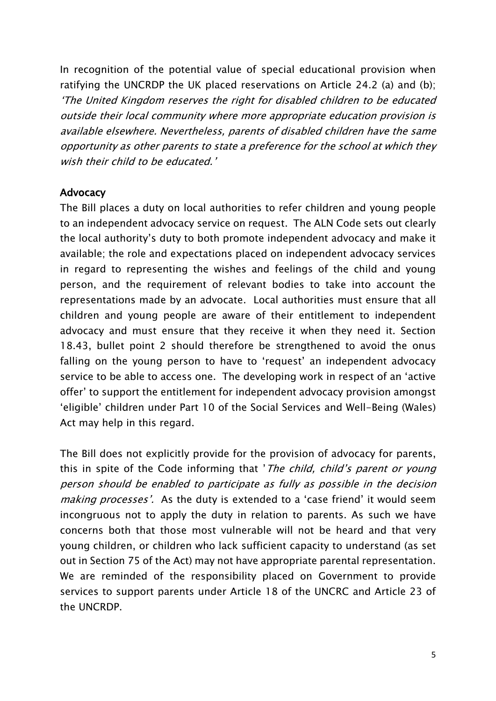In recognition of the potential value of special educational provision when ratifying the UNCRDP the UK placed reservations on Article 24.2 (a) and (b); 'The United Kingdom reserves the right for disabled children to be educated outside their local community where more appropriate education provision is available elsewhere. Nevertheless, parents of disabled children have the same opportunity as other parents to state a preference for the school at which they wish their child to be educated.'

### Advocacy

The Bill places a duty on local authorities to refer children and young people to an independent advocacy service on request. The ALN Code sets out clearly the local authority's duty to both promote independent advocacy and make it available; the role and expectations placed on independent advocacy services in regard to representing the wishes and feelings of the child and young person, and the requirement of relevant bodies to take into account the representations made by an advocate. Local authorities must ensure that all children and young people are aware of their entitlement to independent advocacy and must ensure that they receive it when they need it. Section 18.43, bullet point 2 should therefore be strengthened to avoid the onus falling on the young person to have to 'request' an independent advocacy service to be able to access one. The developing work in respect of an 'active offer' to support the entitlement for independent advocacy provision amongst 'eligible' children under Part 10 of the Social Services and Well-Being (Wales) Act may help in this regard.

The Bill does not explicitly provide for the provision of advocacy for parents, this in spite of the Code informing that '*The child, child's parent or young* person should be enabled to participate as fully as possible in the decision making processes'. As the duty is extended to a 'case friend' it would seem incongruous not to apply the duty in relation to parents. As such we have concerns both that those most vulnerable will not be heard and that very young children, or children who lack sufficient capacity to understand (as set out in Section 75 of the Act) may not have appropriate parental representation. We are reminded of the responsibility placed on Government to provide services to support parents under Article 18 of the UNCRC and Article 23 of the UNCRDP.